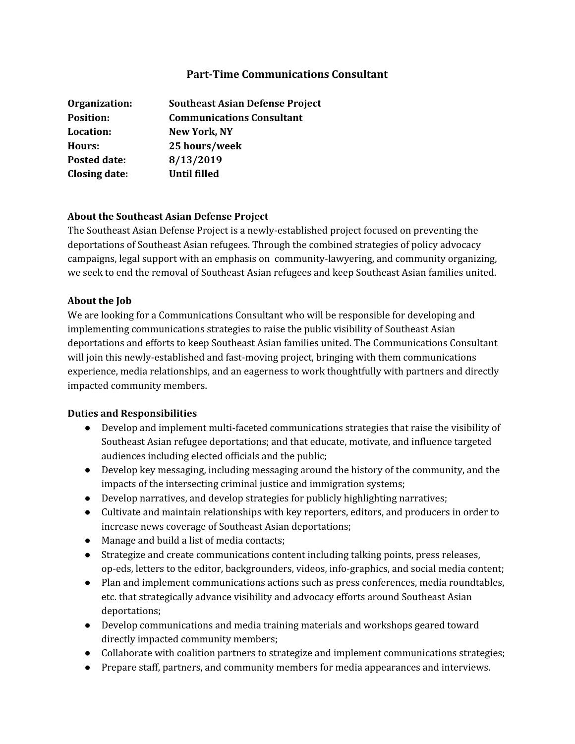# **Part-Time Communications Consultant**

| Organization:        | <b>Southeast Asian Defense Project</b> |
|----------------------|----------------------------------------|
| <b>Position:</b>     | <b>Communications Consultant</b>       |
| Location:            | <b>New York, NY</b>                    |
| Hours:               | 25 hours/week                          |
| Posted date:         | 8/13/2019                              |
| <b>Closing date:</b> | Until filled                           |

### **About the Southeast Asian Defense Project**

The Southeast Asian Defense Project is a newly-established project focused on preventing the deportations of Southeast Asian refugees. Through the combined strategies of policy advocacy campaigns, legal support with an emphasis on community-lawyering, and community organizing, we seek to end the removal of Southeast Asian refugees and keep Southeast Asian families united.

#### **About the Job**

We are looking for a Communications Consultant who will be responsible for developing and implementing communications strategies to raise the public visibility of Southeast Asian deportations and efforts to keep Southeast Asian families united. The Communications Consultant will join this newly-established and fast-moving project, bringing with them communications experience, media relationships, and an eagerness to work thoughtfully with partners and directly impacted community members.

# **Duties and Responsibilities**

- Develop and implement multi-faceted communications strategies that raise the visibility of Southeast Asian refugee deportations; and that educate, motivate, and influence targeted audiences including elected officials and the public;
- Develop key messaging, including messaging around the history of the community, and the impacts of the intersecting criminal justice and immigration systems;
- Develop narratives, and develop strategies for publicly highlighting narratives;
- Cultivate and maintain relationships with key reporters, editors, and producers in order to increase news coverage of Southeast Asian deportations;
- Manage and build a list of media contacts;
- Strategize and create communications content including talking points, press releases, op-eds, letters to the editor, backgrounders, videos, info-graphics, and social media content;
- Plan and implement communications actions such as press conferences, media roundtables, etc. that strategically advance visibility and advocacy efforts around Southeast Asian deportations;
- Develop communications and media training materials and workshops geared toward directly impacted community members;
- Collaborate with coalition partners to strategize and implement communications strategies;
- Prepare staff, partners, and community members for media appearances and interviews.